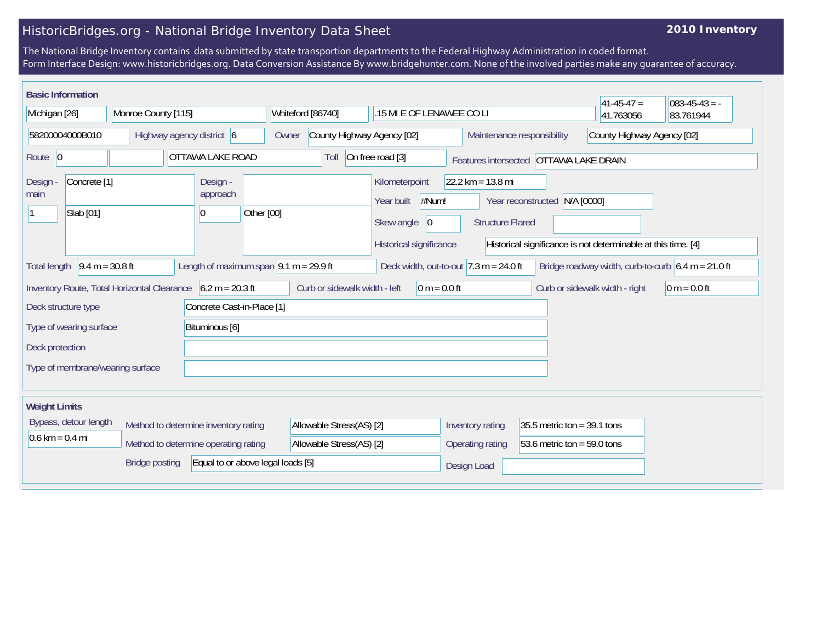## HistoricBridges.org - National Bridge Inventory Data Sheet

## **2010 Inventory**

The National Bridge Inventory contains data submitted by state transportion departments to the Federal Highway Administration in coded format. Form Interface Design: www.historicbridges.org. Data Conversion Assistance By www.bridgehunter.com. None of the involved parties make any guarantee of accuracy.

| <b>Basic Information</b><br>$41 - 45 - 47 =$<br>$ 083-45-43 = -$                                                                                                                                                                          |  |                           |  |                                      |                                                                                   |                                     |                          |                  |                                                                       |                                        |                                                                                                                                                                     |                |           |           |  |  |
|-------------------------------------------------------------------------------------------------------------------------------------------------------------------------------------------------------------------------------------------|--|---------------------------|--|--------------------------------------|-----------------------------------------------------------------------------------|-------------------------------------|--------------------------|------------------|-----------------------------------------------------------------------|----------------------------------------|---------------------------------------------------------------------------------------------------------------------------------------------------------------------|----------------|-----------|-----------|--|--|
| Michigan [26]                                                                                                                                                                                                                             |  | Monroe County [115]       |  |                                      |                                                                                   | Whiteford [86740]                   |                          |                  | .15 MI E OF LENAWEE CO LI                                             |                                        |                                                                                                                                                                     |                | 41.763056 | 83.761944 |  |  |
| 58200004000B010                                                                                                                                                                                                                           |  | Highway agency district 6 |  |                                      |                                                                                   | County Highway Agency [02]<br>Owner |                          |                  |                                                                       |                                        | County Highway Agency [02]<br>Maintenance responsibility                                                                                                            |                |           |           |  |  |
| OTTAWA LAKE ROAD<br>Route $ 0$                                                                                                                                                                                                            |  |                           |  | On free road [3]<br>Toll             |                                                                                   |                                     |                          |                  |                                                                       | Features intersected OTTAWA LAKE DRAIN |                                                                                                                                                                     |                |           |           |  |  |
| Concrete <sup>[1]</sup><br><b>Design</b><br>main<br>Slab [01]                                                                                                                                                                             |  |                           |  | Design -<br>approach<br>10           | Other [00]                                                                        |                                     |                          |                  | Kilometerpoint<br>Year built<br>Skew angle<br>Historical significance | #Num!<br> 0                            | $22.2 \text{ km} = 13.8 \text{ mi}$<br>N/A [0000]<br>Year reconstructed<br><b>Structure Flared</b><br>Historical significance is not determinable at this time. [4] |                |           |           |  |  |
| $9.4 m = 30.8 ft$<br>Length of maximum span $ 9.1 \text{ m} = 29.9 \text{ ft}$<br>Deck width, out-to-out $7.3 \text{ m} = 24.0 \text{ ft}$<br>Bridge roadway width, curb-to-curb $6.4 \text{ m} = 21.0 \text{ ft}$<br><b>Total length</b> |  |                           |  |                                      |                                                                                   |                                     |                          |                  |                                                                       |                                        |                                                                                                                                                                     |                |           |           |  |  |
| $6.2 m = 20.3 ft$<br>Inventory Route, Total Horizontal Clearance                                                                                                                                                                          |  |                           |  |                                      | Curb or sidewalk width - left<br>$0 m = 0.0 ft$<br>Curb or sidewalk width - right |                                     |                          |                  |                                                                       |                                        |                                                                                                                                                                     | $0 m = 0.0 ft$ |           |           |  |  |
| Concrete Cast-in-Place [1]<br>Deck structure type                                                                                                                                                                                         |  |                           |  |                                      |                                                                                   |                                     |                          |                  |                                                                       |                                        |                                                                                                                                                                     |                |           |           |  |  |
| Bituminous [6]<br>Type of wearing surface                                                                                                                                                                                                 |  |                           |  |                                      |                                                                                   |                                     |                          |                  |                                                                       |                                        |                                                                                                                                                                     |                |           |           |  |  |
| Deck protection                                                                                                                                                                                                                           |  |                           |  |                                      |                                                                                   |                                     |                          |                  |                                                                       |                                        |                                                                                                                                                                     |                |           |           |  |  |
| Type of membrane/wearing surface                                                                                                                                                                                                          |  |                           |  |                                      |                                                                                   |                                     |                          |                  |                                                                       |                                        |                                                                                                                                                                     |                |           |           |  |  |
|                                                                                                                                                                                                                                           |  |                           |  |                                      |                                                                                   |                                     |                          |                  |                                                                       |                                        |                                                                                                                                                                     |                |           |           |  |  |
| <b>Weight Limits</b>                                                                                                                                                                                                                      |  |                           |  |                                      |                                                                                   |                                     |                          |                  |                                                                       |                                        |                                                                                                                                                                     |                |           |           |  |  |
| Bypass, detour length                                                                                                                                                                                                                     |  |                           |  | Method to determine inventory rating |                                                                                   |                                     | Allowable Stress(AS) [2] |                  |                                                                       |                                        | 35.5 metric ton = $39.1$ tons<br>Inventory rating                                                                                                                   |                |           |           |  |  |
| $0.6 \text{ km} = 0.4 \text{ mi}$<br>Method to determine operating rating                                                                                                                                                                 |  |                           |  | Allowable Stress(AS) [2]             |                                                                                   |                                     |                          | Operating rating |                                                                       |                                        | 53.6 metric ton = $59.0$ tons                                                                                                                                       |                |           |           |  |  |
| <b>Bridge posting</b><br>Equal to or above legal loads [5]                                                                                                                                                                                |  |                           |  |                                      |                                                                                   |                                     |                          |                  |                                                                       | Design Load                            |                                                                                                                                                                     |                |           |           |  |  |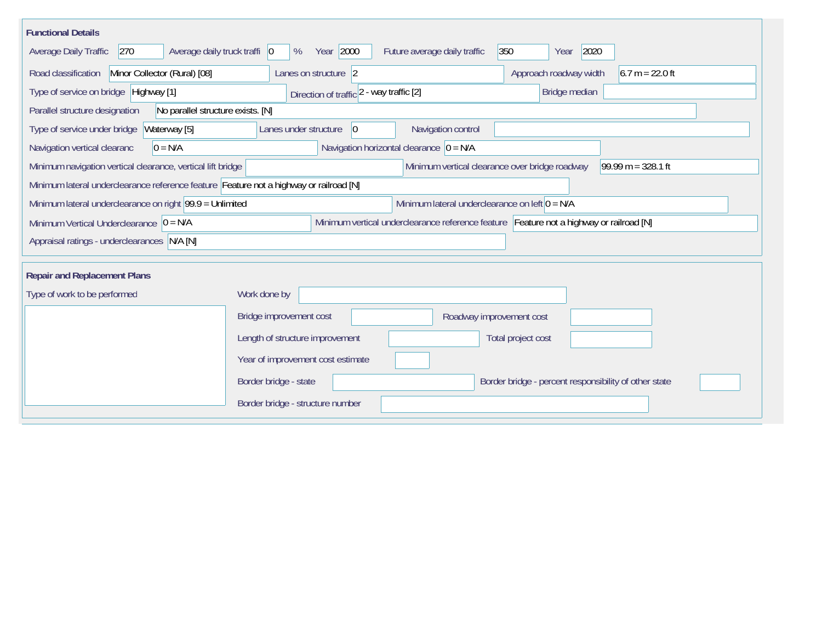| <b>Functional Details</b>                                                                                                               |                                                                                                              |                                             |  |  |  |  |  |  |
|-----------------------------------------------------------------------------------------------------------------------------------------|--------------------------------------------------------------------------------------------------------------|---------------------------------------------|--|--|--|--|--|--|
| Year 2000<br>350<br>2020<br>270<br>Average daily truck traffi   0<br>Future average daily traffic<br>Average Daily Traffic<br>%<br>Year |                                                                                                              |                                             |  |  |  |  |  |  |
| Road classification<br>Minor Collector (Rural) [08]                                                                                     | Lanes on structure 2                                                                                         | Approach roadway width<br>$6.7 m = 22.0 ft$ |  |  |  |  |  |  |
| Type of service on bridge   Highway [1]                                                                                                 | Bridge median<br>Direction of traffic 2 - way traffic [2]                                                    |                                             |  |  |  |  |  |  |
| No parallel structure exists. [N]<br>Parallel structure designation                                                                     |                                                                                                              |                                             |  |  |  |  |  |  |
| Type of service under bridge<br>Waterway [5]                                                                                            | 0 <br>Navigation control<br>Lanes under structure                                                            |                                             |  |  |  |  |  |  |
| Navigation horizontal clearance $ 0 = N/A$<br>$0 = N/A$<br>Navigation vertical clearanc                                                 |                                                                                                              |                                             |  |  |  |  |  |  |
| Minimum navigation vertical clearance, vertical lift bridge                                                                             | Minimum vertical clearance over bridge roadway                                                               | $99.99 m = 328.1 ft$                        |  |  |  |  |  |  |
| Minimum lateral underclearance reference feature Feature not a highway or railroad [N]                                                  |                                                                                                              |                                             |  |  |  |  |  |  |
|                                                                                                                                         | Minimum lateral underclearance on right 99.9 = Unlimited<br>Minimum lateral underclearance on left $0 = N/A$ |                                             |  |  |  |  |  |  |
| Minimum Vertical Underclearance $ 0 = N/A$                                                                                              | Minimum vertical underclearance reference feature Feature not a highway or railroad [N]                      |                                             |  |  |  |  |  |  |
| Appraisal ratings - underclearances N/A [N]                                                                                             |                                                                                                              |                                             |  |  |  |  |  |  |
|                                                                                                                                         |                                                                                                              |                                             |  |  |  |  |  |  |
| <b>Repair and Replacement Plans</b>                                                                                                     |                                                                                                              |                                             |  |  |  |  |  |  |
| Type of work to be performed                                                                                                            | Work done by                                                                                                 |                                             |  |  |  |  |  |  |
|                                                                                                                                         | Bridge improvement cost<br>Roadway improvement cost                                                          |                                             |  |  |  |  |  |  |
|                                                                                                                                         | Length of structure improvement<br>Total project cost                                                        |                                             |  |  |  |  |  |  |
|                                                                                                                                         | Year of improvement cost estimate                                                                            |                                             |  |  |  |  |  |  |
|                                                                                                                                         | Border bridge - state<br>Border bridge - percent responsibility of other state                               |                                             |  |  |  |  |  |  |
|                                                                                                                                         | Border bridge - structure number                                                                             |                                             |  |  |  |  |  |  |